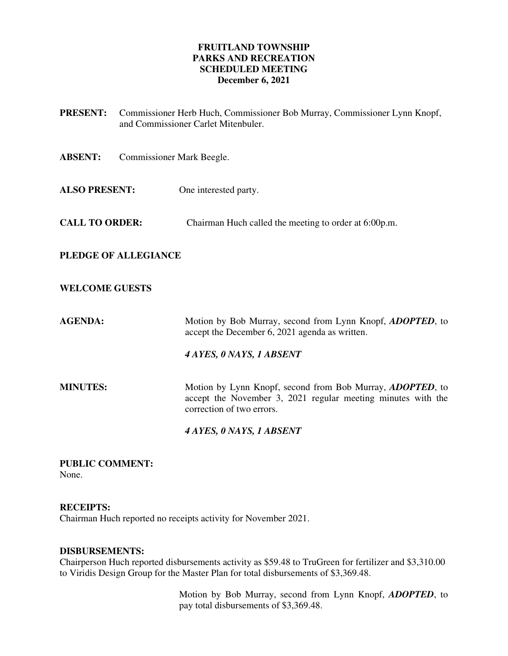# **FRUITLAND TOWNSHIP PARKS AND RECREATION SCHEDULED MEETING December 6, 2021**

**PRESENT:** Commissioner Herb Huch, Commissioner Bob Murray, Commissioner Lynn Knopf, and Commissioner Carlet Mitenbuler. **ABSENT:** Commissioner Mark Beegle. **ALSO PRESENT:** One interested party. **CALL TO ORDER:** Chairman Huch called the meeting to order at 6:00p.m. **PLEDGE OF ALLEGIANCE WELCOME GUESTS AGENDA:** Motion by Bob Murray, second from Lynn Knopf, *ADOPTED*, to accept the December 6, 2021 agenda as written. *4 AYES, 0 NAYS, 1 ABSENT*  **MINUTES:** Motion by Lynn Knopf, second from Bob Murray, *ADOPTED*, to accept the November 3, 2021 regular meeting minutes with the correction of two errors.  *4 AYES, 0 NAYS, 1 ABSENT* 

**PUBLIC COMMENT:**  None.

**RECEIPTS:** 

Chairman Huch reported no receipts activity for November 2021.

# **DISBURSEMENTS:**

Chairperson Huch reported disbursements activity as \$59.48 to TruGreen for fertilizer and \$3,310.00 to Viridis Design Group for the Master Plan for total disbursements of \$3,369.48.

> Motion by Bob Murray, second from Lynn Knopf, *ADOPTED*, to pay total disbursements of \$3,369.48.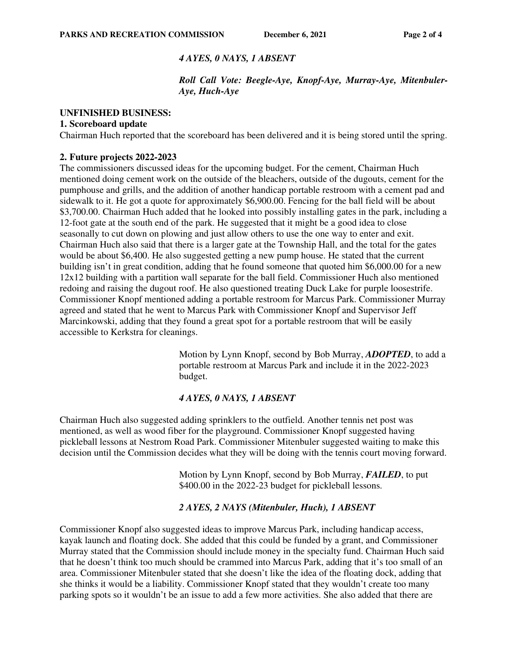# *4 AYES, 0 NAYS, 1 ABSENT*

# *Roll Call Vote: Beegle-Aye, Knopf-Aye, Murray-Aye, Mitenbuler-Aye, Huch-Aye*

### **UNFINISHED BUSINESS:**

### **1. Scoreboard update**

Chairman Huch reported that the scoreboard has been delivered and it is being stored until the spring.

### **2. Future projects 2022-2023**

The commissioners discussed ideas for the upcoming budget. For the cement, Chairman Huch mentioned doing cement work on the outside of the bleachers, outside of the dugouts, cement for the pumphouse and grills, and the addition of another handicap portable restroom with a cement pad and sidewalk to it. He got a quote for approximately \$6,900.00. Fencing for the ball field will be about \$3,700.00. Chairman Huch added that he looked into possibly installing gates in the park, including a 12-foot gate at the south end of the park. He suggested that it might be a good idea to close seasonally to cut down on plowing and just allow others to use the one way to enter and exit. Chairman Huch also said that there is a larger gate at the Township Hall, and the total for the gates would be about \$6,400. He also suggested getting a new pump house. He stated that the current building isn't in great condition, adding that he found someone that quoted him \$6,000.00 for a new 12x12 building with a partition wall separate for the ball field. Commissioner Huch also mentioned redoing and raising the dugout roof. He also questioned treating Duck Lake for purple loosestrife. Commissioner Knopf mentioned adding a portable restroom for Marcus Park. Commissioner Murray agreed and stated that he went to Marcus Park with Commissioner Knopf and Supervisor Jeff Marcinkowski, adding that they found a great spot for a portable restroom that will be easily accessible to Kerkstra for cleanings.

> Motion by Lynn Knopf, second by Bob Murray, *ADOPTED*, to add a portable restroom at Marcus Park and include it in the 2022-2023 budget.

# *4 AYES, 0 NAYS, 1 ABSENT*

Chairman Huch also suggested adding sprinklers to the outfield. Another tennis net post was mentioned, as well as wood fiber for the playground. Commissioner Knopf suggested having pickleball lessons at Nestrom Road Park. Commissioner Mitenbuler suggested waiting to make this decision until the Commission decides what they will be doing with the tennis court moving forward.

> Motion by Lynn Knopf, second by Bob Murray, *FAILED*, to put \$400.00 in the 2022-23 budget for pickleball lessons.

# *2 AYES, 2 NAYS (Mitenbuler, Huch), 1 ABSENT*

Commissioner Knopf also suggested ideas to improve Marcus Park, including handicap access, kayak launch and floating dock. She added that this could be funded by a grant, and Commissioner Murray stated that the Commission should include money in the specialty fund. Chairman Huch said that he doesn't think too much should be crammed into Marcus Park, adding that it's too small of an area. Commissioner Mitenbuler stated that she doesn't like the idea of the floating dock, adding that she thinks it would be a liability. Commissioner Knopf stated that they wouldn't create too many parking spots so it wouldn't be an issue to add a few more activities. She also added that there are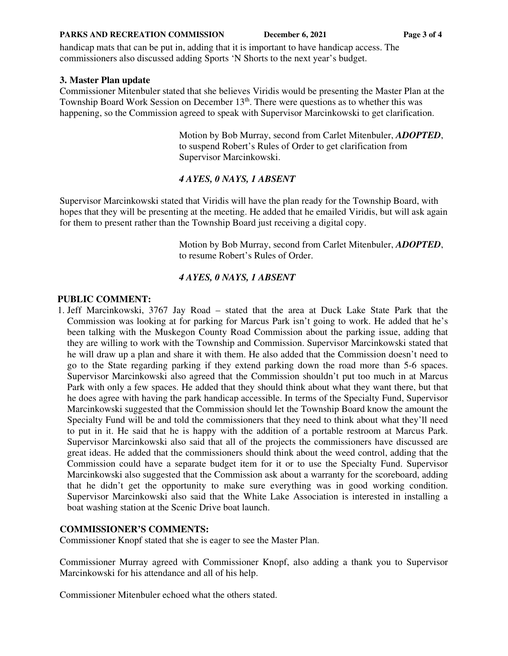#### **PARKS AND RECREATION COMMISSION** December 6, 2021 Page 3 of 4

handicap mats that can be put in, adding that it is important to have handicap access. The commissioners also discussed adding Sports 'N Shorts to the next year's budget.

### **3. Master Plan update**

Commissioner Mitenbuler stated that she believes Viridis would be presenting the Master Plan at the Township Board Work Session on December  $13<sup>th</sup>$ . There were questions as to whether this was happening, so the Commission agreed to speak with Supervisor Marcinkowski to get clarification.

> Motion by Bob Murray, second from Carlet Mitenbuler, *ADOPTED*, to suspend Robert's Rules of Order to get clarification from Supervisor Marcinkowski.

# *4 AYES, 0 NAYS, 1 ABSENT*

Supervisor Marcinkowski stated that Viridis will have the plan ready for the Township Board, with hopes that they will be presenting at the meeting. He added that he emailed Viridis, but will ask again for them to present rather than the Township Board just receiving a digital copy.

> Motion by Bob Murray, second from Carlet Mitenbuler, *ADOPTED*, to resume Robert's Rules of Order.

# *4 AYES, 0 NAYS, 1 ABSENT*

### **PUBLIC COMMENT:**

1. Jeff Marcinkowski, 3767 Jay Road – stated that the area at Duck Lake State Park that the Commission was looking at for parking for Marcus Park isn't going to work. He added that he's been talking with the Muskegon County Road Commission about the parking issue, adding that they are willing to work with the Township and Commission. Supervisor Marcinkowski stated that he will draw up a plan and share it with them. He also added that the Commission doesn't need to go to the State regarding parking if they extend parking down the road more than 5-6 spaces. Supervisor Marcinkowski also agreed that the Commission shouldn't put too much in at Marcus Park with only a few spaces. He added that they should think about what they want there, but that he does agree with having the park handicap accessible. In terms of the Specialty Fund, Supervisor Marcinkowski suggested that the Commission should let the Township Board know the amount the Specialty Fund will be and told the commissioners that they need to think about what they'll need to put in it. He said that he is happy with the addition of a portable restroom at Marcus Park. Supervisor Marcinkowski also said that all of the projects the commissioners have discussed are great ideas. He added that the commissioners should think about the weed control, adding that the Commission could have a separate budget item for it or to use the Specialty Fund. Supervisor Marcinkowski also suggested that the Commission ask about a warranty for the scoreboard, adding that he didn't get the opportunity to make sure everything was in good working condition. Supervisor Marcinkowski also said that the White Lake Association is interested in installing a boat washing station at the Scenic Drive boat launch.

# **COMMISSIONER'S COMMENTS:**

Commissioner Knopf stated that she is eager to see the Master Plan.

Commissioner Murray agreed with Commissioner Knopf, also adding a thank you to Supervisor Marcinkowski for his attendance and all of his help.

Commissioner Mitenbuler echoed what the others stated.